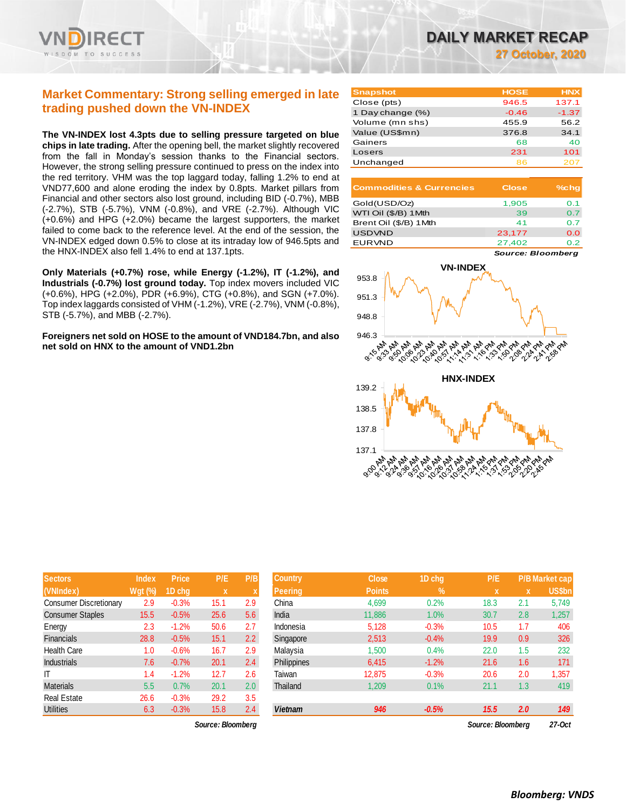

# **Market Commentary: Strong selling emerged in late trading pushed down the VN-INDEX**

**The VN-INDEX lost 4.3pts due to selling pressure targeted on blue chips in late trading.** After the opening bell, the market slightly recovered from the fall in Monday's session thanks to the Financial sectors. However, the strong selling pressure continued to press on the index into the red territory. VHM was the top laggard today, falling 1.2% to end at VND77,600 and alone eroding the index by 0.8pts. Market pillars from Financial and other sectors also lost ground, including BID (-0.7%), MBB (-2.7%), STB (-5.7%), VNM (-0.8%), and VRE (-2.7%). Although VIC (+0.6%) and HPG (+2.0%) became the largest supporters, the market failed to come back to the reference level. At the end of the session, the VN-INDEX edged down 0.5% to close at its intraday low of 946.5pts and the HNX-INDEX also fell 1.4% to end at 137.1pts.

**Only Materials (+0.7%) rose, while Energy (-1.2%), IT (-1.2%), and Industrials (-0.7%) lost ground today.** Top index movers included VIC (+0.6%), HPG (+2.0%), PDR (+6.9%), CTG (+0.8%), and SGN (+7.0%). Top index laggards consisted of VHM (-1.2%), VRE (-2.7%), VNM (-0.8%), STB (-5.7%), and MBB (-2.7%).

**Foreigners net sold on HOSE to the amount of VND184.7bn, and also net sold on HNX to the amount of VND1.2bn**

| <b>Snapshot</b>  | <b>HOSE</b> | <b>HNX</b> |
|------------------|-------------|------------|
| Close (pts)      | 946.5       | 137.1      |
| 1 Day change (%) | $-0.46$     | $-1.37$    |
| Volume (mn shs)  | 455.9       | 56.2       |
| Value (US\$mn)   | 376.8       | 34.1       |
| Gainers          | 68          | 40         |
| Losers           | 231         | 101        |
| Unchanged        | ឧន          | 207        |

| <b>Commodities &amp; Currencies</b> | <b>Close</b> | $%$ chq |
|-------------------------------------|--------------|---------|
| Gold(USD/Oz)                        | 1,905        | 0.1     |
| WTI Oil (\$/B) 1 Mth                | 39           | 0.7     |
| Brent Oil (\$/B) 1Mth               | 41           | 0 7     |
| <b>USDVND</b>                       | 23,177       | 0.0     |
| <b>EURVND</b>                       | 27.402       | ი 2     |

*Source: Bloomberg*



| Sectors                       | Index     | <b>Price</b> | P/E          | P/B              | <b>Country</b>     | <b>Close</b>  | 1D chg  | P/E  |     | <b>P/B Market cap</b> |
|-------------------------------|-----------|--------------|--------------|------------------|--------------------|---------------|---------|------|-----|-----------------------|
| (VNIndex)                     | $Wgt$ (%) | 1D chq       | $\mathbf{x}$ |                  | <b>Peering</b>     | <b>Points</b> | $\%$    | x    | x   | US\$bn                |
| <b>Consumer Discretionary</b> | 2.9       | $-0.3%$      | 15.1         | 2.9              | China              | 4,699         | 0.2%    | 18.3 | 2.1 | 5,749                 |
| <b>Consumer Staples</b>       | 15.5      | $-0.5%$      | 25.6         | 5.6              | India              | 11,886        | 1.0%    | 30.7 | 2.8 | 1,257                 |
| Energy                        | 2.3       | $-1.2%$      | 50.6         | 2.7              | Indonesia          | 5,128         | $-0.3%$ | 10.5 | 1.7 | 406                   |
| <b>Financials</b>             | 28.8      | $-0.5%$      | 15.1         | 2.2 <sub>2</sub> | Singapore          | 2,513         | $-0.4%$ | 19.9 | 0.9 | 326                   |
| <b>Health Care</b>            | 1.0       | $-0.6%$      | 16.7         | 2.9              | Malaysia           | 1,500         | 0.4%    | 22.0 | 1.5 | 232                   |
| Industrials                   | 7.6       | $-0.7%$      | 20.1         | 2.4              | <b>Philippines</b> | 6,415         | $-1.2%$ | 21.6 | 1.6 | 171                   |
| IT                            | 1.4       | $-1.2%$      | 12.7         | 2.6              | Taiwan             | 12,875        | $-0.3%$ | 20.6 | 2.0 | 1,357                 |
| <b>Materials</b>              | 5.5       | 0.7%         | 20.1         | 2.0 <sub>2</sub> | Thailand           | 1,209         | 0.1%    | 21.1 | 1.3 | 419                   |
| <b>Real Estate</b>            | 26.6      | $-0.3%$      | 29.2         | 3.5              |                    |               |         |      |     |                       |
| <b>Utilities</b>              | 6.3       | $-0.3%$      | 15.8         | 2.4              | <b>Vietnam</b>     | 946           | $-0.5%$ | 15.5 | 2.0 | 149                   |

| əeclul s                | шчех           | гны     | 67 S              | гљ               | ע שוושש            | <b>UIUSE</b>  | <b>TD VIIY</b> | 11 E              |     | <b>FID MAINGLUAD</b> |
|-------------------------|----------------|---------|-------------------|------------------|--------------------|---------------|----------------|-------------------|-----|----------------------|
| (VNIndex)               | <b>Wgt (%)</b> | 1D chq  | $\mathbf x$       |                  | <b>Peering</b>     | <b>Points</b> | $\%$           | ΙX.               | X   | US\$bn               |
| Consumer Discretionary  | 2.9            | $-0.3%$ | 15.1              | 2.9              | China              | 4,699         | 0.2%           | 18.3              | 2.1 | 5,749                |
| <b>Consumer Staples</b> | 15.5           | $-0.5%$ | 25.6              | 5.6              | India              | 11,886        | 1.0%           | 30.7              | 2.8 | 1,257                |
| Energy                  | 2.3            | $-1.2%$ | 50.6              | 2.7              | Indonesia          | 5,128         | $-0.3%$        | 10.5              | 1.7 | 406                  |
| Financials              | 28.8           | $-0.5%$ | 15.1              | 2.2              | Singapore          | 2,513         | $-0.4%$        | 19.9              | 0.9 | 326                  |
| Health Care             | 1.0            | $-0.6%$ | 16.7              | 2.9              | Malaysia           | 1,500         | 0.4%           | 22.0              | 1.5 | 232                  |
| <b>Industrials</b>      | 7.6            | $-0.7%$ | 20.1              | 2.4              | <b>Philippines</b> | 6.415         | $-1.2%$        | 21.6              | 1.6 | 171                  |
| Т                       | 1.4            | $-1.2%$ | 12.7              | 2.6              | Taiwan             | 12,875        | $-0.3%$        | 20.6              | 2.0 | 1,357                |
| Materials               | 5.5            | 0.7%    | 20.1              | 2.0 <sub>1</sub> | Thailand           | 1,209         | 0.1%           | 21.1              | 1.3 | 419                  |
| Real Estate             | 26.6           | $-0.3%$ | 29.2              | 3.5              |                    |               |                |                   |     |                      |
| <b>Utilities</b>        | 6.3            | $-0.3%$ | 15.8              | 2.4              | <b>Vietnam</b>     | 946           | $-0.5%$        | 15.5              | 2.0 | 149                  |
|                         |                |         | Source: Bloomberg |                  |                    |               |                | Source: Bloombera |     | 27-Oct               |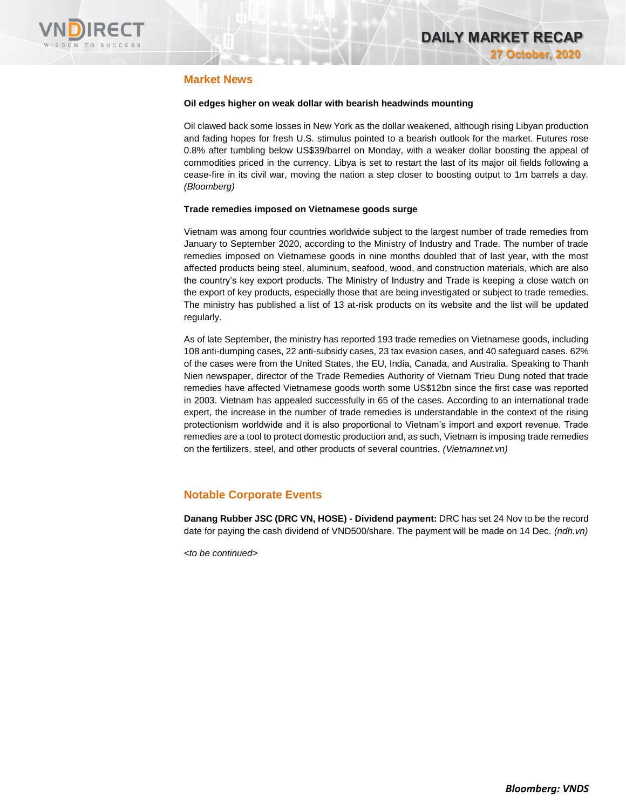

# **Market News**

## **Oil edges higher on weak dollar with bearish headwinds mounting**

Oil clawed back some losses in New York as the dollar weakened, although rising Libyan production and fading hopes for fresh U.S. stimulus pointed to a bearish outlook for the market. Futures rose 0.8% after tumbling below US\$39/barrel on Monday, with a weaker dollar boosting the appeal of commodities priced in the currency. Libya is set to restart the last of its major oil fields following a cease-fire in its civil war, moving the nation a step closer to boosting output to 1m barrels a day. *(Bloomberg)*

## **Trade remedies imposed on Vietnamese goods surge**

Vietnam was among four countries worldwide subject to the largest number of trade remedies from January to September 2020, according to the Ministry of Industry and Trade. The number of trade remedies imposed on Vietnamese goods in nine months doubled that of last year, with the most affected products being steel, aluminum, seafood, wood, and construction materials, which are also the country's key export products. The Ministry of Industry and Trade is keeping a close watch on the export of key products, especially those that are being investigated or subject to trade remedies. The ministry has published a list of 13 at-risk products on its website and the list will be updated regularly.

As of late September, the ministry has reported 193 trade remedies on Vietnamese goods, including 108 anti-dumping cases, 22 anti-subsidy cases, 23 tax evasion cases, and 40 safeguard cases. 62% of the cases were from the United States, the EU, India, Canada, and Australia. Speaking to Thanh Nien newspaper, director of the Trade Remedies Authority of Vietnam Trieu Dung noted that trade remedies have affected Vietnamese goods worth some US\$12bn since the first case was reported in 2003. Vietnam has appealed successfully in 65 of the cases. According to an international trade expert, the increase in the number of trade remedies is understandable in the context of the rising protectionism worldwide and it is also proportional to Vietnam's import and export revenue. Trade remedies are a tool to protect domestic production and, as such, Vietnam is imposing trade remedies on the fertilizers, steel, and other products of several countries. *(Vietnamnet.vn)*

# **Notable Corporate Events**

**Danang Rubber JSC (DRC VN, HOSE) - Dividend payment:** DRC has set 24 Nov to be the record date for paying the cash dividend of VND500/share. The payment will be made on 14 Dec. *(ndh.vn)*

*<to be continued>*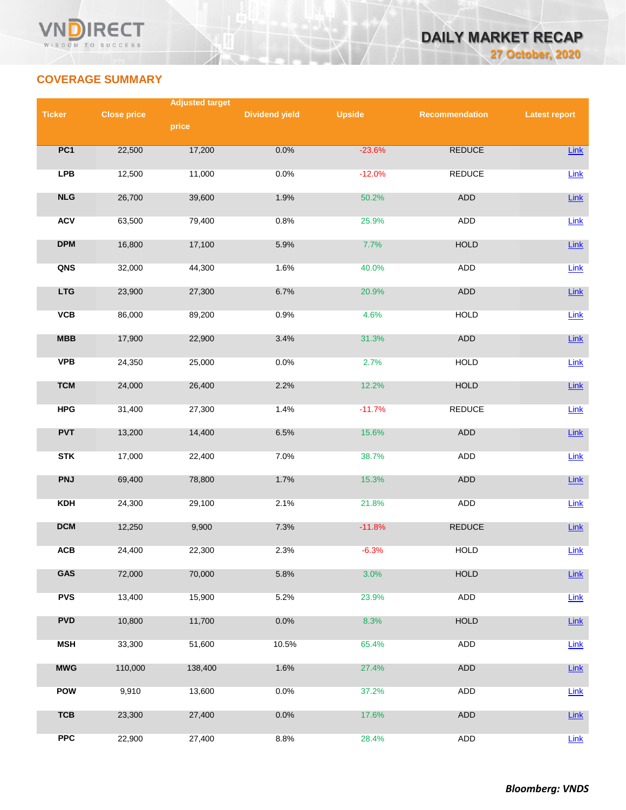



# **COVERAGE SUMMARY**

|               |                    | <b>Adjusted target</b> |                       |               |                |                      |  |
|---------------|--------------------|------------------------|-----------------------|---------------|----------------|----------------------|--|
| <b>Ticker</b> | <b>Close price</b> |                        | <b>Dividend yield</b> | <b>Upside</b> | Recommendation | <b>Latest report</b> |  |
|               |                    | price                  |                       |               |                |                      |  |
| PC1           | 22,500             | 17,200                 | 0.0%                  | $-23.6%$      | <b>REDUCE</b>  | Link                 |  |
| <b>LPB</b>    | 12,500             | 11,000                 | 0.0%                  | $-12.0%$      | <b>REDUCE</b>  | Link                 |  |
| NLG           | 26,700             | 39,600                 | 1.9%                  | 50.2%         | ADD            | Link                 |  |
| <b>ACV</b>    | 63,500             | 79,400                 | 0.8%                  | 25.9%         | <b>ADD</b>     | $Link$               |  |
| <b>DPM</b>    | 16,800             | 17,100                 | 5.9%                  | 7.7%          | <b>HOLD</b>    | Link                 |  |
| QNS           | 32,000             | 44,300                 | 1.6%                  | 40.0%         | <b>ADD</b>     | Link                 |  |
| <b>LTG</b>    | 23,900             | 27,300                 | 6.7%                  | 20.9%         | ADD            | Link                 |  |
| <b>VCB</b>    | 86,000             | 89,200                 | 0.9%                  | 4.6%          | <b>HOLD</b>    | Link                 |  |
| <b>MBB</b>    | 17,900             | 22,900                 | 3.4%                  | 31.3%         | ADD            | Link                 |  |
| <b>VPB</b>    | 24,350             | 25,000                 | 0.0%                  | 2.7%          | <b>HOLD</b>    | Link                 |  |
| <b>TCM</b>    | 24,000             | 26,400                 | 2.2%                  | 12.2%         | <b>HOLD</b>    | Link                 |  |
| <b>HPG</b>    | 31,400             | 27,300                 | 1.4%                  | $-11.7%$      | <b>REDUCE</b>  | Link                 |  |
| <b>PVT</b>    | 13,200             | 14,400                 | 6.5%                  | 15.6%         | ADD            | $Link$               |  |
| <b>STK</b>    | 17,000             | 22,400                 | 7.0%                  | 38.7%         | ADD            | Link                 |  |
| <b>PNJ</b>    | 69,400             | 78,800                 | 1.7%                  | 15.3%         | ADD            | $Link$               |  |
| <b>KDH</b>    | 24,300             | 29,100                 | 2.1%                  | 21.8%         | ADD            | Link                 |  |
| <b>DCM</b>    | 12,250             | 9,900                  | 7.3%                  | $-11.8%$      | <b>REDUCE</b>  | Link                 |  |
| ACB           | 24,400             | 22,300                 | 2.3%                  | $-6.3%$       | <b>HOLD</b>    | Link                 |  |
| GAS           | 72,000             | 70,000                 | 5.8%                  | 3.0%          | <b>HOLD</b>    | Link                 |  |
| <b>PVS</b>    | 13,400             | 15,900                 | 5.2%                  | 23.9%         | ADD            | Link                 |  |
| <b>PVD</b>    | 10,800             | 11,700                 | 0.0%                  | 8.3%          | <b>HOLD</b>    | $Link$               |  |
| <b>MSH</b>    | 33,300             | 51,600                 | 10.5%                 | 65.4%         | <b>ADD</b>     | Link                 |  |
| <b>MWG</b>    | 110,000            | 138,400                | 1.6%                  | 27.4%         | ADD            | Link                 |  |
| POW           | 9,910              | 13,600                 | 0.0%                  | 37.2%         | ADD            | Link                 |  |
| <b>TCB</b>    | 23,300             | 27,400                 | 0.0%                  | 17.6%         | ADD            | Link                 |  |
| <b>PPC</b>    | 22,900             | 27,400                 | 8.8%                  | 28.4%         | ADD            | Link                 |  |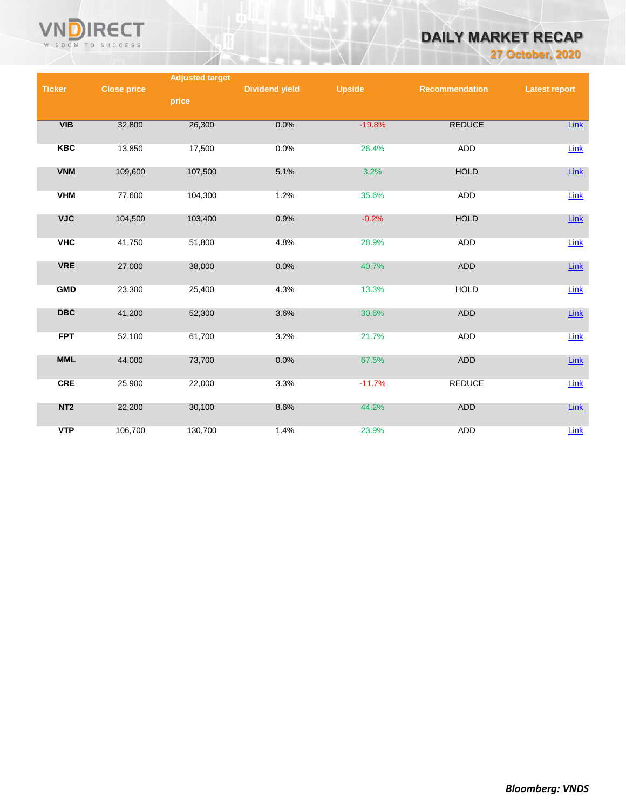

# **DAILY MARKET RECAP**

**27 October, 2020**

|                 |                    | <b>Adjusted target</b> |                       |               |                       |                      |
|-----------------|--------------------|------------------------|-----------------------|---------------|-----------------------|----------------------|
| <b>Ticker</b>   | <b>Close price</b> |                        | <b>Dividend yield</b> | <b>Upside</b> | <b>Recommendation</b> | <b>Latest report</b> |
|                 |                    | price                  |                       |               |                       |                      |
|                 |                    |                        |                       |               |                       |                      |
| VIB             | 32,800             | 26,300                 | 0.0%                  | $-19.8%$      | <b>REDUCE</b>         | <b>Link</b>          |
| <b>KBC</b>      | 13,850             | 17,500                 | 0.0%                  | 26.4%         | ADD                   | Link                 |
|                 |                    |                        |                       |               |                       |                      |
| <b>VNM</b>      | 109,600            | 107,500                | 5.1%                  | 3.2%          | <b>HOLD</b>           | Link                 |
|                 |                    |                        |                       |               |                       |                      |
| <b>VHM</b>      | 77,600             | 104,300                | 1.2%                  | 35.6%         | ADD                   | Link                 |
| <b>VJC</b>      | 104,500            | 103,400                | 0.9%                  | $-0.2%$       | <b>HOLD</b>           | Link                 |
|                 |                    |                        |                       |               |                       |                      |
| <b>VHC</b>      | 41,750             | 51,800                 | 4.8%                  | 28.9%         | ADD                   | Link                 |
|                 |                    |                        |                       |               |                       |                      |
| <b>VRE</b>      | 27,000             | 38,000                 | 0.0%                  | 40.7%         | <b>ADD</b>            | Link                 |
|                 |                    |                        |                       |               |                       |                      |
| <b>GMD</b>      | 23,300             | 25,400                 | 4.3%                  | 13.3%         | <b>HOLD</b>           | Link                 |
| <b>DBC</b>      | 41,200             | 52,300                 | 3.6%                  | 30.6%         | <b>ADD</b>            | Link                 |
|                 |                    |                        |                       |               |                       |                      |
| <b>FPT</b>      | 52,100             | 61,700                 | 3.2%                  | 21.7%         | <b>ADD</b>            | Link                 |
|                 |                    |                        |                       |               |                       |                      |
| <b>MML</b>      | 44,000             | 73,700                 | 0.0%                  | 67.5%         | <b>ADD</b>            | Link                 |
| <b>CRE</b>      | 25,900             | 22,000                 | 3.3%                  | $-11.7%$      | <b>REDUCE</b>         | Link                 |
|                 |                    |                        |                       |               |                       |                      |
| NT <sub>2</sub> | 22,200             | 30,100                 | 8.6%                  | 44.2%         | ADD                   | Link                 |
|                 |                    |                        |                       |               |                       |                      |
| <b>VTP</b>      | 106,700            | 130,700                | 1.4%                  | 23.9%         | <b>ADD</b>            | Link                 |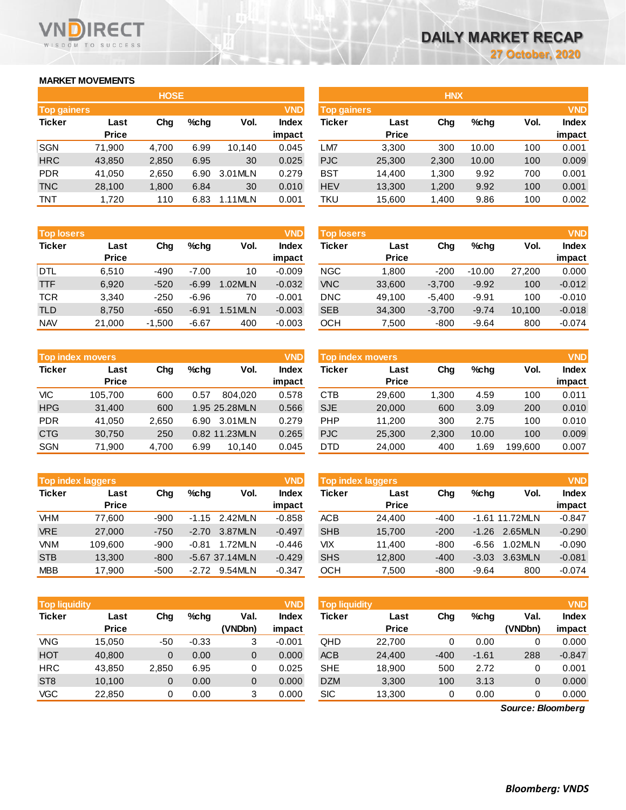# **MARKET MOVEMENTS**

WISDOM TO SUCCESS

**RECT** 

| <b>HOSE</b>        |              |       |      |         |              |  |  |  |  |  |
|--------------------|--------------|-------|------|---------|--------------|--|--|--|--|--|
| <b>Top gainers</b> |              |       |      |         | <b>VND</b>   |  |  |  |  |  |
| <b>Ticker</b>      | Last         | Cha   | %chq | Vol.    | <b>Index</b> |  |  |  |  |  |
|                    | <b>Price</b> |       |      |         | impact       |  |  |  |  |  |
| <b>SGN</b>         | 71,900       | 4,700 | 6.99 | 10,140  | 0.045        |  |  |  |  |  |
| <b>HRC</b>         | 43,850       | 2,850 | 6.95 | 30      | 0.025        |  |  |  |  |  |
| <b>PDR</b>         | 41,050       | 2,650 | 6.90 | 3.01MLN | 0.279        |  |  |  |  |  |
| <b>TNC</b>         | 28,100       | 1,800 | 6.84 | 30      | 0.010        |  |  |  |  |  |
| <b>TNT</b>         | 1,720        | 110   | 6.83 | 1.11MLN | 0.001        |  |  |  |  |  |

| <b>Top losers</b> |              |          |             |         | <b>VND</b>   |
|-------------------|--------------|----------|-------------|---------|--------------|
| <b>Ticker</b>     | Last         |          | %chq<br>Cha |         | <b>Index</b> |
|                   | <b>Price</b> |          |             |         | impact       |
| <b>DTL</b>        | 6,510        | -490     | $-7.00$     | 10      | $-0.009$     |
| <b>TTF</b>        | 6,920        | $-520$   | $-6.99$     | 1.02MLN | $-0.032$     |
| <b>TCR</b>        | 3.340        | $-250$   | $-6.96$     | 70      | $-0.001$     |
| <b>TLD</b>        | 8,750        | $-650$   | $-6.91$     | 1.51MLN | $-0.003$     |
| <b>NAV</b>        | 21,000       | $-1,500$ | $-6.67$     | 400     | $-0.003$     |

|               | <b>Top index movers</b> |       |      |               |              |  |  |  |  |  |
|---------------|-------------------------|-------|------|---------------|--------------|--|--|--|--|--|
| <b>Ticker</b> | Last                    | Cha   | %chq | Vol.          | <b>Index</b> |  |  |  |  |  |
|               | <b>Price</b>            |       |      |               | impact       |  |  |  |  |  |
| VIC           | 105,700                 | 600   | 0.57 | 804.020       | 0.578        |  |  |  |  |  |
| <b>HPG</b>    | 31,400                  | 600   |      | 1.95 25.28MLN | 0.566        |  |  |  |  |  |
| <b>PDR</b>    | 41,050                  | 2,650 | 6.90 | 3.01MLN       | 0.279        |  |  |  |  |  |
| <b>CTG</b>    | 30,750                  | 250   |      | 0.82 11.23MLN | 0.265        |  |  |  |  |  |
| <b>SGN</b>    | 71,900                  | 4,700 | 6.99 | 10.140        | 0.045        |  |  |  |  |  |

|               | <b>VND</b><br><b>Top index laggers</b> |        |         |                 |              |  |  |  |  |  |
|---------------|----------------------------------------|--------|---------|-----------------|--------------|--|--|--|--|--|
| <b>Ticker</b> | Last                                   | Cha    | %chq    | Vol.            | <b>Index</b> |  |  |  |  |  |
|               | <b>Price</b>                           |        |         |                 | impact       |  |  |  |  |  |
| <b>VHM</b>    | 77,600                                 | -900   |         | $-1.15$ 2.42MLN | $-0.858$     |  |  |  |  |  |
| <b>VRE</b>    | 27,000                                 | $-750$ | $-2.70$ | 3.87MLN         | $-0.497$     |  |  |  |  |  |
| <b>VNM</b>    | 109,600                                | $-900$ | $-0.81$ | 1.72MLN         | $-0.446$     |  |  |  |  |  |
| <b>STB</b>    | 13.300                                 | $-800$ |         | -5.67 37.14MLN  | $-0.429$     |  |  |  |  |  |
| <b>MBB</b>    | 17,900                                 | $-500$ | $-2.72$ | 9.54MLN         | $-0.347$     |  |  |  |  |  |

| <b>VND</b><br><b>Top liquidity</b> |              |       |         |         |              |  |  |  |  |  |
|------------------------------------|--------------|-------|---------|---------|--------------|--|--|--|--|--|
| <b>Ticker</b>                      | Last         | Cha   | %chq    | Val.    | <b>Index</b> |  |  |  |  |  |
|                                    | <b>Price</b> |       |         | (VNDbn) | impact       |  |  |  |  |  |
| VNG                                | 15,050       | -50   | $-0.33$ | 3       | $-0.001$     |  |  |  |  |  |
| <b>HOT</b>                         | 40,800       | 0     | 0.00    | 0       | 0.000        |  |  |  |  |  |
| <b>HRC</b>                         | 43.850       | 2,850 | 6.95    | 0       | 0.025        |  |  |  |  |  |
| ST <sub>8</sub>                    | 10,100       | 0     | 0.00    | 0       | 0.000        |  |  |  |  |  |
| <b>VGC</b>                         | 22,850       | 0     | 0.00    | 3       | 0.000        |  |  |  |  |  |

|                    |              | <b>HOSE</b> |         |         |              | <b>HNX</b>         |              |       |         |      |              |
|--------------------|--------------|-------------|---------|---------|--------------|--------------------|--------------|-------|---------|------|--------------|
| <b>Top gainers</b> |              |             |         |         | <b>VND</b>   | <b>Top gainers</b> |              |       |         |      | <b>VND</b>   |
| Ticker             | Last         | Chg         | $%$ chq | Vol.    | <b>Index</b> | Ticker             | Last         | Chg   | $%$ chq | Vol. | <b>Index</b> |
|                    | <b>Price</b> |             |         |         | impact       |                    | <b>Price</b> |       |         |      | impact       |
| SGN                | 71,900       | 4.700       | 6.99    | 10.140  | 0.045        | ∟M7                | 3,300        | 300   | 10.00   | 100  | 0.001        |
| <b>HRC</b>         | 43,850       | 2,850       | 6.95    | 30      | 0.025        | PJC                | 25,300       | 2,300 | 10.00   | 100  | 0.009        |
| <b>PDR</b>         | 41,050       | 2,650       | 6.90    | 3.01MLN | 0.279        | <b>BST</b>         | 14,400       | 1,300 | 9.92    | 700  | 0.001        |
| <b>TNC</b>         | 28,100       | 1,800       | 6.84    | 30      | 0.010        | <b>HEV</b>         | 13,300       | 1,200 | 9.92    | 100  | 0.001        |
| TNT                | 1,720        | 110         | 6.83    | 1.11MLN | 0.001        | TKU                | 15,600       | 1,400 | 9.86    | 100  | 0.002        |
|                    |              |             |         |         |              |                    |              |       |         |      |              |

| <b>Top losers</b> |              |          |         |         | <b>VND</b>   | <b>Top losers</b> |              |          |          |        | <b>VND</b>   |
|-------------------|--------------|----------|---------|---------|--------------|-------------------|--------------|----------|----------|--------|--------------|
| Ticker            | Last         | Chg      | $%$ chq | Vol.    | <b>Index</b> | Ticker            | Last         | Chg      | $%$ chq  | Vol.   | <b>Index</b> |
|                   | <b>Price</b> |          |         |         | impact       |                   | <b>Price</b> |          |          |        | impact       |
| DTL               | 6,510        | $-490$   | $-7.00$ | 10      | $-0.009$     | <b>NGC</b>        | 1.800        | $-200$   | $-10.00$ | 27,200 | 0.000        |
| TTF               | 6,920        | $-520$   | $-6.99$ | 1.02MLN | $-0.032$     | <b>VNC</b>        | 33,600       | $-3,700$ | $-9.92$  | 100    | $-0.012$     |
| TCR               | 3,340        | $-250$   | $-6.96$ | 70      | $-0.001$     | <b>DNC</b>        | 49.100       | $-5,400$ | $-9.91$  | 100    | $-0.010$     |
| TLD               | 8,750        | $-650$   | $-6.91$ | 1.51MLN | $-0.003$     | <b>SEB</b>        | 34,300       | $-3,700$ | $-9.74$  | 10,100 | $-0.018$     |
| <b>NAV</b>        | 21,000       | $-1,500$ | $-6.67$ | 400     | $-0.003$     | ОСН               | 7,500        | $-800$   | $-9.64$  | 800    | $-0.074$     |
|                   |              |          |         |         |              |                   |              |          |          |        |              |

|            | <b>Top index movers</b> |       |         |               | <b>VND</b>             | <b>VND</b><br><b>Top index movers</b> |                      |       |         |         |                        |
|------------|-------------------------|-------|---------|---------------|------------------------|---------------------------------------|----------------------|-------|---------|---------|------------------------|
| Ticker     | Last<br><b>Price</b>    | Chg   | $%$ chq | Vol.          | <b>Index</b><br>impact | Ticker                                | Last<br><b>Price</b> | Chg   | $%$ chq | Vol.    | <b>Index</b><br>impact |
| VIC        | 105.700                 | 600   | 0.57    | 804.020       | 0.578                  | СТВ                                   | 29.600               | 1.300 | 4.59    | 100     | 0.011                  |
| <b>HPG</b> | 31.400                  | 600   |         | 1.95 25.28MLN | 0.566                  | <b>SJE</b>                            | 20,000               | 600   | 3.09    | 200     | 0.010                  |
| <b>PDR</b> | 41.050                  | 2.650 | 6.90    | 3.01MLN       | 0.279                  | <b>PHP</b>                            | 11.200               | 300   | 2.75    | 100     | 0.010                  |
| <b>CTG</b> | 30.750                  | 250   |         | 0.82 11.23MLN | 0.265                  | <b>PJC</b>                            | 25,300               | 2,300 | 10.00   | 100     | 0.009                  |
| <b>SGN</b> | 71,900                  | 4,700 | 6.99    | 10,140        | 0.045                  | DTD                                   | 24,000               | 400   | . .69   | 199.600 | 0.007                  |

|            | <b>Top index laggers</b> |        |         |                  | <b>VND</b>   | <b>VND</b><br><b>Top index laggers</b> |              |        |         |                  |              |
|------------|--------------------------|--------|---------|------------------|--------------|----------------------------------------|--------------|--------|---------|------------------|--------------|
| Ticker     | Last                     | Chg    | $%$ chq | Vol.             | <b>Index</b> | Ticker                                 | Last         | Chg    | $%$ chq | Vol.             | <b>Index</b> |
|            | <b>Price</b>             |        |         |                  | impact       |                                        | <b>Price</b> |        |         |                  | impact       |
| VHM        | 77.600                   | -900   |         | $-1.15$ 2.42MLN  | $-0.858$     | <b>ACB</b>                             | 24.400       | $-400$ |         | $-1.61$ 11.72MLN | $-0.847$     |
| <b>VRE</b> | 27,000                   | $-750$ | $-2.70$ | 3.87MLN          | $-0.497$     | <b>SHB</b>                             | 15.700       | $-200$ | $-1.26$ | 2.65MLN          | $-0.290$     |
| <b>VNM</b> | 109.600                  | $-900$ | $-0.81$ | 1.72MLN          | $-0.446$     | VIX                                    | 11.400       | $-800$ | $-6.56$ | 1.02MLN          | $-0.090$     |
| <b>STB</b> | 13.300                   | $-800$ |         | $-5.67$ 37.14MLN | $-0.429$     | <b>SHS</b>                             | 12,800       | $-400$ | $-3.03$ | 3.63MLN          | $-0.081$     |
| <b>MBB</b> | 17.900                   | $-500$ | $-2.72$ | 9.54MLN          | $-0.347$     | осн                                    | 7.500        | $-800$ | $-9.64$ | 800              | $-0.074$     |

| <b>Top liquidity</b> |              |          |         |         | <b>VND</b> | <b>Top liquidity</b> |              |        |         |         | <b>VND</b>   |
|----------------------|--------------|----------|---------|---------|------------|----------------------|--------------|--------|---------|---------|--------------|
| Ticker               | Last         | Chg      | $%$ chq | Val.    | Index      | <b>Ticker</b>        | Last         | Chg    | $%$ chq | Val.    | <b>Index</b> |
|                      | <b>Price</b> |          |         | (VNDbn) | impact     |                      | <b>Price</b> |        |         | (VNDbn) | impact       |
| VNG                  | 15.050       | -50      | $-0.33$ | 3       | $-0.001$   | QHD                  | 22.700       |        | 0.00    |         | 0.000        |
| <b>HOT</b>           | 40,800       | $\Omega$ | 0.00    | 0       | 0.000      | <b>ACB</b>           | 24,400       | $-400$ | $-1.61$ | 288     | $-0.847$     |
| HRC                  | 43.850       | 2,850    | 6.95    |         | 0.025      | <b>SHE</b>           | 18.900       | 500    | 2.72    |         | 0.001        |
| ST <sub>8</sub>      | 10.100       | 0        | 0.00    | 0       | 0.000      | <b>DZM</b>           | 3,300        | 100    | 3.13    | 0       | 0.000        |
| VGC                  | 22,850       |          | 0.00    | 3       | 0.000      | <b>SIC</b>           | 13,300       | 0      | 0.00    |         | 0.000        |
|                      |              |          |         |         |            |                      |              |        |         |         |              |

*Source: Bloomberg*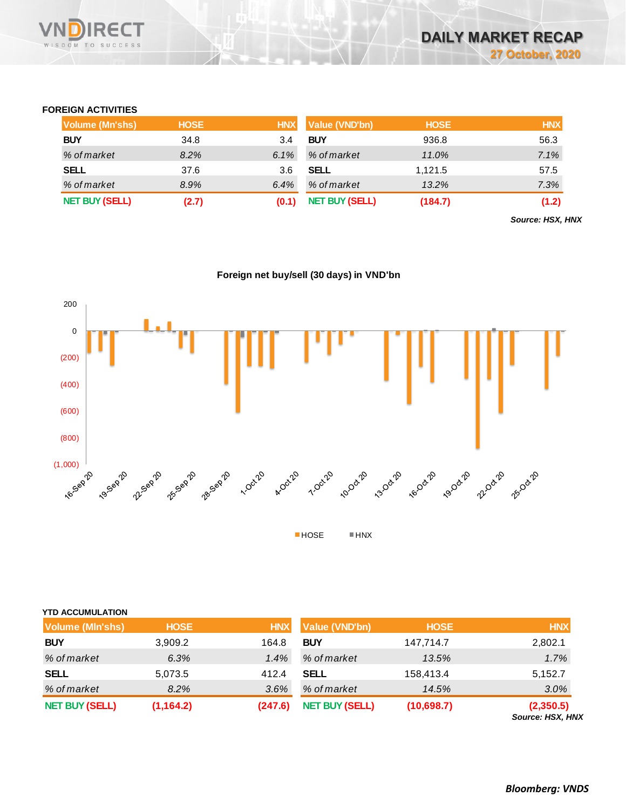

## **FOREIGN ACTIVITIES**

| <b>Volume (Mn'shs)</b> | <b>HOSE</b> | <b>HNX</b> | <b>Value (VND'bn)</b> | <b>HOSE</b> | <b>HNX</b> |
|------------------------|-------------|------------|-----------------------|-------------|------------|
| <b>BUY</b>             | 34.8        | 3.4        | <b>BUY</b>            | 936.8       | 56.3       |
| % of market            | 8.2%        | 6.1%       | % of market           | 11.0%       | 7.1%       |
| <b>SELL</b>            | 37.6        | 3.6        | <b>SELL</b>           | 1.121.5     | 57.5       |
| % of market            | 8.9%        | 6.4%       | % of market           | 13.2%       | 7.3%       |
| <b>NET BUY (SELL)</b>  | (2.7)       |            | <b>NET BUY (SELL)</b> | (184.7)     | (1.2)      |

*Source: HSX, HNX*

# **Foreign net buy/sell (30 days) in VND'bn**



| <b>YTD ACCUMULATION</b> |             |            |                       |             |                               |
|-------------------------|-------------|------------|-----------------------|-------------|-------------------------------|
| <b>Volume (MIn'shs)</b> | <b>HOSE</b> | <b>HNX</b> | Value (VND'bn)        | <b>HOSE</b> | <b>HNX</b>                    |
| <b>BUY</b>              | 3,909.2     | 164.8      | <b>BUY</b>            | 147,714.7   | 2,802.1                       |
| % of market             | 6.3%        | 1.4%       | % of market           | 13.5%       | 1.7%                          |
| <b>SELL</b>             | 5,073.5     | 412.4      | <b>SELL</b>           | 158,413.4   | 5,152.7                       |
| % of market             | 8.2%        | 3.6%       | % of market           | 14.5%       | 3.0%                          |
| <b>NET BUY (SELL)</b>   | (1, 164.2)  | (247.6)    | <b>NET BUY (SELL)</b> | (10,698.7)  | (2,350.5)<br>Source: HSX, HNX |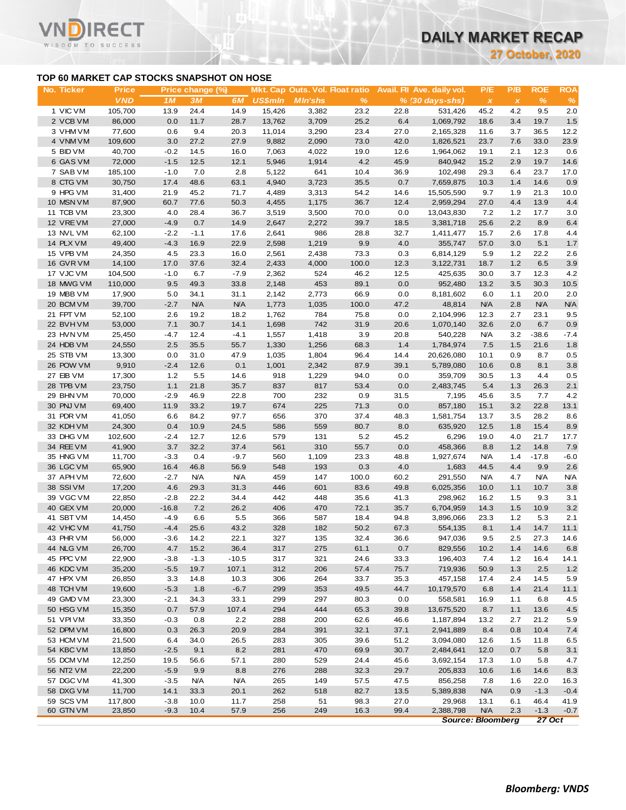**27 October, 2020**

## **TOP 60 MARKET CAP STOCKS SNAPSHOT ON HOSE**

**RECT** 

**VN** 

| No. Ticker             | TOP 60 MARKET CAP STOCKS SNAPSHOT ON HOSE<br><b>Price</b> |                | Price change (%)   |                    |                |                |               |              | Mkt. Cap Outs. Vol. Float ratio Avail. Fil Ave. daily vol. | P/E                       | P/B          | <b>ROE</b>         | <b>ROA</b>        |
|------------------------|-----------------------------------------------------------|----------------|--------------------|--------------------|----------------|----------------|---------------|--------------|------------------------------------------------------------|---------------------------|--------------|--------------------|-------------------|
|                        | <b>VND</b>                                                | 1M             | 3M                 | 6M                 | <b>US\$mln</b> | <b>MIn'shs</b> | %             |              | $% (30 days-shs)$                                          | $\boldsymbol{\mathsf{x}}$ | $\pmb{\chi}$ | $\%$               | $\frac{9}{6}$     |
| 1 VIC VM               | 105,700                                                   | 13.9           | 24.4               | 14.9               | 15,426         | 3,382          | 23.2          | 22.8         | 531,426                                                    | 45.2                      | 4.2          | 9.5                | 2.0               |
| 2 VCB VM               | 86,000                                                    | 0.0            | 11.7               | 28.7               | 13,762         | 3,709          | 25.2          | 6.4          | 1,069,792                                                  | 18.6                      | 3.4          | 19.7               | 1.5               |
| 3 VHM VM               | 77,600                                                    | 0.6            | 9.4                | 20.3               | 11,014         | 3,290          | 23.4          | 27.0         | 2,165,328                                                  | 11.6                      | 3.7          | 36.5               | 12.2              |
| 4 VNM VM               | 109,600                                                   | 3.0            | 27.2               | 27.9               | 9,882          | 2,090          | 73.0          | 42.0         | 1,826,521                                                  | 23.7                      | 7.6          | 33.0               | 23.9              |
| 5 BID VM               | 40,700                                                    | $-0.2$         | 14.5               | 16.0               | 7,063          | 4,022          | 19.0          | 12.6         | 1,964,062                                                  | 19.1                      | 2.1          | 12.3               | 0.6               |
| 6 GAS VM               | 72,000                                                    | $-1.5$         | 12.5               | 12.1               | 5,946          | 1,914          | 4.2           | 45.9         | 840,942                                                    | 15.2                      | 2.9          | 19.7               | 14.6              |
| 7 SAB VM<br>8 CTG VM   | 185,100<br>30,750                                         | $-1.0$<br>17.4 | 7.0<br>48.6        | 2.8<br>63.1        | 5,122<br>4,940 | 641<br>3,723   | 10.4<br>35.5  | 36.9<br>0.7  | 102,498<br>7,659,875                                       | 29.3<br>10.3              | 6.4<br>1.4   | 23.7<br>14.6       | 17.0<br>0.9       |
| 9 HPG VM               | 31,400                                                    | 21.9           | 45.2               | 71.7               | 4,489          | 3,313          | 54.2          | 14.6         | 15,505,590                                                 | 9.7                       | 1.9          | 21.3               | 10.0              |
| 10 MSN VM              | 87,900                                                    | 60.7           | 77.6               | 50.3               | 4,455          | 1,175          | 36.7          | 12.4         | 2,959,294                                                  | 27.0                      | 4.4          | 13.9               | 4.4               |
| 11 TCB VM              | 23,300                                                    | 4.0            | 28.4               | 36.7               | 3,519          | 3,500          | 70.0          | 0.0          | 13,043,830                                                 | 7.2                       | 1.2          | 17.7               | 3.0               |
| 12 VREVM               | 27,000                                                    | $-4.9$         | 0.7                | 14.9               | 2,647          | 2,272          | 39.7          | 18.5         | 3,381,718                                                  | 25.6                      | 2.2          | 8.9                | 6.4               |
| 13 NVL VM              | 62,100                                                    | $-2.2$         | $-1.1$             | 17.6               | 2,641          | 986            | 28.8          | 32.7         | 1,411,477                                                  | 15.7                      | 2.6          | 17.8               | 4.4               |
| 14 PLX VM              | 49,400                                                    | $-4.3$         | 16.9               | 22.9               | 2,598          | 1,219          | 9.9           | 4.0          | 355,747                                                    | 57.0                      | 3.0          | 5.1                | 1.7               |
| 15 VPB VM              | 24,350                                                    | 4.5            | 23.3               | 16.0               | 2,561          | 2,438          | 73.3          | 0.3          | 6,814,129                                                  | 5.9                       | 1.2          | 22.2               | 2.6               |
| 16 GVR VM              | 14,100                                                    | 17.0           | 37.6               | 32.4               | 2,433          | 4,000          | 100.0         | 12.3         | 3,122,731                                                  | 18.7                      | 1.2          | 6.5                | 3.9               |
| 17 VJC VM              | 104,500                                                   | $-1.0$         | 6.7                | $-7.9$             | 2,362          | 524            | 46.2          | 12.5         | 425,635                                                    | 30.0                      | 3.7          | 12.3               | 4.2               |
| 18 MWG VM              | 110,000                                                   | 9.5            | 49.3               | 33.8               | 2,148          | 453            | 89.1          | 0.0          | 952,480                                                    | 13.2                      | 3.5          | 30.3               | 10.5              |
| 19 MBB VM<br>20 BCM VM | 17,900<br>39,700                                          | 5.0<br>$-2.7$  | 34.1<br><b>N/A</b> | 31.1<br><b>N/A</b> | 2,142<br>1,773 | 2,773<br>1,035 | 66.9<br>100.0 | 0.0<br>47.2  | 8,181,602<br>48,814                                        | 6.0<br><b>N/A</b>         | 1.1<br>2.8   | 20.0<br><b>N/A</b> | 2.0<br><b>N/A</b> |
| 21 FPT VM              | 52,100                                                    | 2.6            | 19.2               | 18.2               | 1,762          | 784            | 75.8          | 0.0          | 2,104,996                                                  | 12.3                      | 2.7          | 23.1               | 9.5               |
| 22 BVHVM               | 53,000                                                    | 7.1            | 30.7               | 14.1               | 1,698          | 742            | 31.9          | 20.6         | 1,070,140                                                  | 32.6                      | 2.0          | 6.7                | 0.9               |
| 23 HVN VM              | 25,450                                                    | $-4.7$         | 12.4               | $-4.1$             | 1,557          | 1,418          | 3.9           | 20.8         | 540.228                                                    | <b>N/A</b>                | 3.2          | $-38.6$            | $-7.4$            |
| 24 HDB VM              | 24,550                                                    | 2.5            | 35.5               | 55.7               | 1,330          | 1,256          | 68.3          | 1.4          | 1,784,974                                                  | 7.5                       | 1.5          | 21.6               | 1.8               |
| 25 STB VM              | 13,300                                                    | 0.0            | 31.0               | 47.9               | 1,035          | 1,804          | 96.4          | 14.4         | 20,626,080                                                 | 10.1                      | 0.9          | 8.7                | 0.5               |
| 26 POW VM              | 9,910                                                     | $-2.4$         | 12.6               | 0.1                | 1,001          | 2,342          | 87.9          | 39.1         | 5,789,080                                                  | 10.6                      | 0.8          | 8.1                | 3.8               |
| 27 EIB VM              | 17,300                                                    | $1.2$          | 5.5                | 14.6               | 918            | 1,229          | 94.0          | 0.0          | 359,709                                                    | 30.5                      | 1.3          | 4.4                | 0.5               |
| 28 TPB VM              | 23,750                                                    | 1.1            | 21.8               | 35.7               | 837            | 817            | 53.4          | 0.0          | 2,483,745                                                  | 5.4                       | 1.3          | 26.3               | 2.1               |
| 29 BHN VM              | 70,000                                                    | $-2.9$         | 46.9               | 22.8               | 700            | 232            | 0.9           | 31.5         | 7,195                                                      | 45.6                      | 3.5          | 7.7                | 4.2               |
| 30 PNJ VM              | 69,400                                                    | 11.9           | 33.2               | 19.7               | 674            | 225            | 71.3          | 0.0          | 857,180                                                    | 15.1                      | 3.2          | 22.8               | 13.1              |
| 31 PDR VM<br>32 KDH VM | 41,050<br>24,300                                          | 6.6<br>0.4     | 84.2<br>10.9       | 97.7<br>24.5       | 656<br>586     | 370<br>559     | 37.4<br>80.7  | 48.3<br>8.0  | 1,581,754<br>635,920                                       | 13.7<br>12.5              | 3.5<br>1.8   | 28.2<br>15.4       | 8.6<br>8.9        |
| 33 DHG VM              | 102,600                                                   | $-2.4$         | 12.7               | 12.6               | 579            | 131            | 5.2           | 45.2         | 6,296                                                      | 19.0                      | 4.0          | 21.7               | 17.7              |
| 34 REE VM              | 41,900                                                    | 3.7            | 32.2               | 37.4               | 561            | 310            | 55.7          | 0.0          | 458,366                                                    | 8.8                       | 1.2          | 14.8               | 7.9               |
| 35 HNG VM              | 11,700                                                    | $-3.3$         | 0.4                | $-9.7$             | 560            | 1,109          | 23.3          | 48.8         | 1,927,674                                                  | <b>N/A</b>                | 1.4          | $-17.8$            | $-6.0$            |
| 36 LGC VM              | 65,900                                                    | 16.4           | 46.8               | 56.9               | 548            | 193            | 0.3           | 4.0          | 1,683                                                      | 44.5                      | 4.4          | 9.9                | 2.6               |
| 37 APH VM              | 72,600                                                    | $-2.7$         | <b>N/A</b>         | <b>N/A</b>         | 459            | 147            | 100.0         | 60.2         | 291,550                                                    | <b>N/A</b>                | 4.7          | <b>N/A</b>         | <b>N/A</b>        |
| 38 SSIVM               | 17,200                                                    | 4.6            | 29.3               | 31.3               | 446            | 601            | 83.6          | 49.8         | 6,025,356                                                  | 10.0                      | 1.1          | 10.7               | 3.8               |
| 39 VGC VM              | 22,850                                                    | $-2.8$         | 22.2               | 34.4               | 442            | 448            | 35.6          | 41.3         | 298,962                                                    | 16.2                      | 1.5          | 9.3                | 3.1               |
| 40 GEX VM              | 20,000                                                    | $-16.8$        | 7.2                | 26.2               | 406            | 470            | 72.1          | 35.7         | 6,704,959                                                  | 14.3                      | 1.5          | 10.9               | $3.2\,$           |
| 41 SBT VM              | 14,450                                                    | $-4.9$         | 6.6                | 5.5                | 366            | 587            | 18.4          | 94.8         | 3,896,066                                                  | 23.3                      | 1.2          | 5.3                | 2.1               |
| 42 VHC VM              | 41,750                                                    | $-4.4$         | 25.6               | 43.2               | 328            | 182            | 50.2          | 67.3         | 554,135                                                    | 8.1                       | 1.4          | 14.7               | 11.1              |
| 43 PHR VM              | 56,000                                                    | $-3.6$         | 14.2<br>15.2       | 22.1               | 327<br>317     | 135<br>275     | 32.4          | 36.6<br>0.7  | 947,036                                                    | 9.5                       | 2.5          | 27.3               | 14.6              |
| 44 NLG VM<br>45 PPC VM | 26,700<br>22,900                                          | 4.7<br>$-3.8$  | $-1.3$             | 36.4<br>$-10.5$    | 317            | 321            | 61.1<br>24.6  | 33.3         | 829,556<br>196,403                                         | 10.2<br>7.4               | 1.4<br>1.2   | 14.6<br>16.4       | 6.8<br>14.1       |
| 46 KDC VM              | 35,200                                                    | $-5.5$         | 19.7               | 107.1              | 312            | 206            | 57.4          | 75.7         | 719,936                                                    | 50.9                      | 1.3          | 2.5                | 1.2               |
| 47 HPX VM              | 26,850                                                    | 3.3            | 14.8               | 10.3               | 306            | 264            | 33.7          | 35.3         | 457,158                                                    | 17.4                      | 2.4          | 14.5               | 5.9               |
| 48 TCH VM              | 19,600                                                    | $-5.3$         | 1.8                | $-6.7$             | 299            | 353            | 49.5          | 44.7         | 10,179,570                                                 | 6.8                       | 1.4          | 21.4               | 11.1              |
| 49 GMD VM              | 23,300                                                    | $-2.1$         | 34.3               | 33.1               | 299            | 297            | 80.3          | 0.0          | 558,581                                                    | 16.9                      | 1.1          | 6.8                | 4.5               |
| 50 HSG VM              | 15,350                                                    | 0.7            | 57.9               | 107.4              | 294            | 444            | 65.3          | 39.8         | 13,675,520                                                 | 8.7                       | 1.1          | 13.6               | 4.5               |
| 51 VPI VM              | 33,350                                                    | $-0.3$         | 0.8                | 2.2                | 288            | 200            | 62.6          | 46.6         | 1,187,894                                                  | 13.2                      | 2.7          | 21.2               | 5.9               |
| 52 DPM VM              | 16,800                                                    | 0.3            | 26.3               | 20.9               | 284            | 391            | 32.1          | 37.1         | 2,941,889                                                  | 8.4                       | 0.8          | 10.4               | $7.4$             |
| 53 HCM VM              | 21,500                                                    | 6.4            | 34.0               | 26.5               | 283            | 305            | 39.6          | 51.2         | 3,094,080                                                  | 12.6                      | 1.5          | 11.8               | 6.5               |
| 54 KBC VM              | 13,850                                                    | $-2.5$         | 9.1                | 8.2                | 281            | 470            | 69.9          | 30.7         | 2,484,641                                                  | 12.0                      | 0.7          | 5.8                | 3.1               |
| 55 DCM VM              | 12,250                                                    | 19.5           | 56.6               | 57.1               | 280            | 529            | 24.4          | 45.6         | 3,692,154                                                  | 17.3                      | 1.0          | 5.8                | 4.7               |
| 56 NT2 VM              | 22,200                                                    | $-5.9$         | 9.9                | 8.8                | 276            | 288            | 32.3          | 29.7         | 205,833                                                    | 10.6                      | 1.6          | 14.6               | 8.3               |
| 57 DGC VM              | 41,300<br>11,700                                          | $-3.5$<br>14.1 | N/A<br>33.3        | <b>N/A</b><br>20.1 | 265<br>262     | 149<br>518     | 57.5<br>82.7  | 47.5         | 856,258<br>5,389,838                                       | 7.8<br><b>N/A</b>         | 1.6<br>0.9   | 22.0<br>$-1.3$     | 16.3              |
| 58 DXG VM<br>59 SCS VM | 117,800                                                   | $-3.8$         | 10.0               | 11.7               | 258            | 51             | 98.3          | 13.5<br>27.0 | 29,968                                                     | 13.1                      | 6.1          | 46.4               | $-0.4$<br>41.9    |
| 60 GTN VM              | 23,850                                                    | $-9.3$         | 10.4               | 57.9               | 256            | 249            | 16.3          | 99.4         | 2,388,798                                                  | <b>N/A</b>                | 2.3          | $-1.3$             | $-0.7$            |

*Source: Bloomberg 27 Oct*